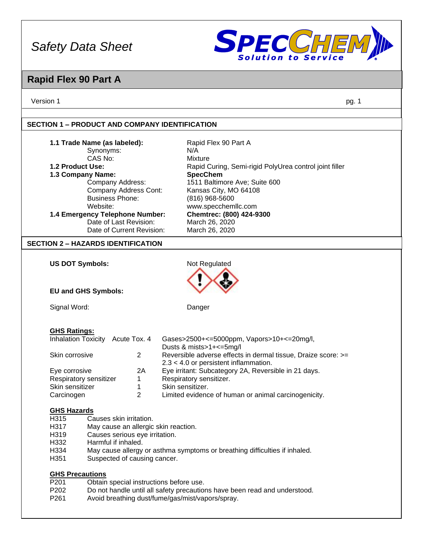

## **Rapid Flex 90 Part A**

Version 1 pg. 1

### **SECTION 1 – PRODUCT AND COMPANY IDENTIFICATION**

| 1.1 Trade Name (as labeled):              |                                                                            | Rapid Flex 90 Part A                                                      |  |  |
|-------------------------------------------|----------------------------------------------------------------------------|---------------------------------------------------------------------------|--|--|
| Synonyms:                                 |                                                                            | N/A                                                                       |  |  |
| CAS No:                                   |                                                                            | <b>Mixture</b>                                                            |  |  |
| 1.2 Product Use:                          |                                                                            | Rapid Curing, Semi-rigid PolyUrea control joint filler                    |  |  |
| 1.3 Company Name:<br>Company Address:     |                                                                            | <b>SpecChem</b><br>1511 Baltimore Ave; Suite 600                          |  |  |
| Company Address Cont:                     |                                                                            | Kansas City, MO 64108                                                     |  |  |
| <b>Business Phone:</b>                    |                                                                            | (816) 968-5600                                                            |  |  |
| Website:                                  |                                                                            | www.specchemllc.com                                                       |  |  |
| 1.4 Emergency Telephone Number:           |                                                                            | Chemtrec: (800) 424-9300                                                  |  |  |
| Date of Last Revision:                    |                                                                            | March 26, 2020                                                            |  |  |
| Date of Current Revision:                 |                                                                            | March 26, 2020                                                            |  |  |
| <b>SECTION 2 - HAZARDS IDENTIFICATION</b> |                                                                            |                                                                           |  |  |
|                                           |                                                                            |                                                                           |  |  |
| <b>US DOT Symbols:</b>                    |                                                                            | Not Regulated                                                             |  |  |
|                                           |                                                                            |                                                                           |  |  |
| <b>EU and GHS Symbols:</b>                |                                                                            |                                                                           |  |  |
|                                           |                                                                            |                                                                           |  |  |
| Signal Word:                              |                                                                            | Danger                                                                    |  |  |
|                                           |                                                                            |                                                                           |  |  |
| <b>GHS Ratings:</b>                       |                                                                            |                                                                           |  |  |
| Inhalation Toxicity Acute Tox. 4          |                                                                            | Gases>2500+<=5000ppm, Vapors>10+<=20mg/l,                                 |  |  |
|                                           |                                                                            | Dusts & mists>1+<=5mg/l                                                   |  |  |
| Skin corrosive                            | $\overline{2}$                                                             | Reversible adverse effects in dermal tissue, Draize score: >=             |  |  |
|                                           |                                                                            | $2.3 < 4.0$ or persistent inflammation.                                   |  |  |
| Eye corrosive                             | 2A                                                                         | Eye irritant: Subcategory 2A, Reversible in 21 days.                      |  |  |
| Respiratory sensitizer                    | 1                                                                          | Respiratory sensitizer.                                                   |  |  |
| Skin sensitizer                           | 1<br>$\overline{2}$                                                        | Skin sensitizer.                                                          |  |  |
| Carcinogen                                |                                                                            | Limited evidence of human or animal carcinogenicity.                      |  |  |
| <b>GHS Hazards</b>                        |                                                                            |                                                                           |  |  |
| H315<br>Causes skin irritation.           |                                                                            |                                                                           |  |  |
| H317                                      | May cause an allergic skin reaction.                                       |                                                                           |  |  |
| H319                                      | Causes serious eye irritation.                                             |                                                                           |  |  |
| H332                                      | Harmful if inhaled.                                                        |                                                                           |  |  |
| H334                                      | May cause allergy or asthma symptoms or breathing difficulties if inhaled. |                                                                           |  |  |
| H351                                      | Suspected of causing cancer.                                               |                                                                           |  |  |
| <b>GHS Precautions</b>                    |                                                                            |                                                                           |  |  |
| P201                                      |                                                                            | Obtain special instructions before use.                                   |  |  |
| P202                                      |                                                                            | Do not handle until all safety precautions have been read and understood. |  |  |
| P261                                      | Avoid breathing dust/fume/gas/mist/vapors/spray.                           |                                                                           |  |  |
|                                           |                                                                            |                                                                           |  |  |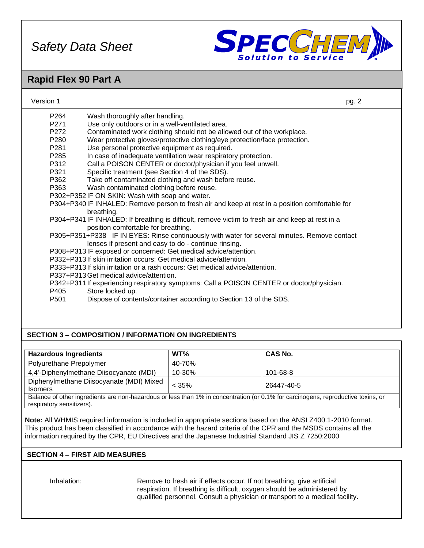

### **Rapid Flex 90 Part A**

| Version 1        | pg. 2                                                                                             |  |
|------------------|---------------------------------------------------------------------------------------------------|--|
| P <sub>264</sub> | Wash thoroughly after handling.                                                                   |  |
| P271             | Use only outdoors or in a well-ventilated area.                                                   |  |
| P272             | Contaminated work clothing should not be allowed out of the workplace.                            |  |
| P <sub>280</sub> | Wear protective gloves/protective clothing/eye protection/face protection.                        |  |
| P <sub>281</sub> | Use personal protective equipment as required.                                                    |  |
| P <sub>285</sub> | In case of inadequate ventilation wear respiratory protection.                                    |  |
| P312             | Call a POISON CENTER or doctor/physician if you feel unwell.                                      |  |
| P321             | Specific treatment (see Section 4 of the SDS).                                                    |  |
| P362             | Take off contaminated clothing and wash before reuse.                                             |  |
| P363             | Wash contaminated clothing before reuse.                                                          |  |
|                  | P302+P352 IF ON SKIN: Wash with soap and water.                                                   |  |
|                  | P304+P340 IF INHALED: Remove person to fresh air and keep at rest in a position comfortable for   |  |
|                  | breathing.                                                                                        |  |
|                  | P304+P341 IF INHALED: If breathing is difficult, remove victim to fresh air and keep at rest in a |  |
|                  | position comfortable for breathing.                                                               |  |
|                  | P305+P351+P338 IF IN EYES: Rinse continuously with water for several minutes. Remove contact      |  |
|                  | lenses if present and easy to do - continue rinsing.                                              |  |
|                  | P308+P313IF exposed or concerned: Get medical advice/attention.                                   |  |
|                  | P332+P313 If skin irritation occurs: Get medical advice/attention.                                |  |
|                  | P333+P313 If skin irritation or a rash occurs: Get medical advice/attention.                      |  |
|                  | P337+P313 Get medical advice/attention.                                                           |  |
|                  | P342+P311 If experiencing respiratory symptoms: Call a POISON CENTER or doctor/physician.         |  |
| P405             | Store locked up.                                                                                  |  |
| P <sub>501</sub> | Dispose of contents/container according to Section 13 of the SDS.                                 |  |
|                  |                                                                                                   |  |
|                  |                                                                                                   |  |
|                  | <b>SECTION 3 - COMPOSITION / INFORMATION ON INGREDIENTS</b>                                       |  |

| <b>Hazardous Ingredients</b>                                                                                                                                   | $WT\%$ | <b>CAS No.</b> |  |  |
|----------------------------------------------------------------------------------------------------------------------------------------------------------------|--------|----------------|--|--|
| Polyurethane Prepolymer                                                                                                                                        | 40-70% |                |  |  |
| 4,4'-Diphenylmethane Diisocyanate (MDI)                                                                                                                        | 10-30% | 101-68-8       |  |  |
| Diphenylmethane Diisocyanate (MDI) Mixed<br>< 35%<br>26447-40-5<br><b>Isomers</b>                                                                              |        |                |  |  |
| Balance of other ingredients are non-hazardous or less than 1% in concentration (or 0.1% for carcinogens, reproductive toxins, or<br>respiratory sensitizers). |        |                |  |  |

**Note:** All WHMIS required information is included in appropriate sections based on the ANSI Z400.1-2010 format. This product has been classified in accordance with the hazard criteria of the CPR and the MSDS contains all the information required by the CPR, EU Directives and the Japanese Industrial Standard JIS Z 7250:2000

### **SECTION 4 – FIRST AID MEASURES**

Inhalation: Remove to fresh air if effects occur. If not breathing, give artificial respiration. If breathing is difficult, oxygen should be administered by qualified personnel. Consult a physician or transport to a medical facility.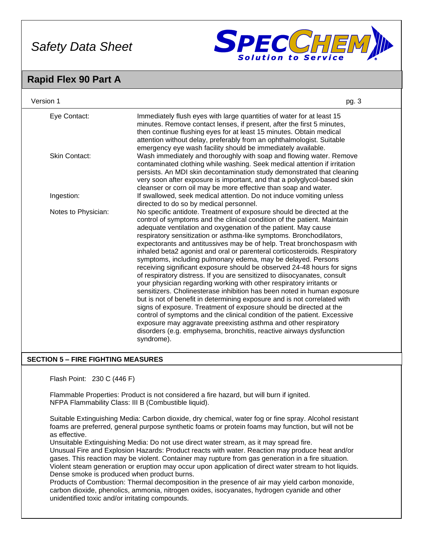

### **Rapid Flex 90 Part A**

| Version 1            | pg. 3                                                                                                                                                                                                                                                                                                                                                                                                                                                                                                                                                                                                                                                                                                                                                                                                                                                                                                                                                                                                                                                                                                                                                                                                           |
|----------------------|-----------------------------------------------------------------------------------------------------------------------------------------------------------------------------------------------------------------------------------------------------------------------------------------------------------------------------------------------------------------------------------------------------------------------------------------------------------------------------------------------------------------------------------------------------------------------------------------------------------------------------------------------------------------------------------------------------------------------------------------------------------------------------------------------------------------------------------------------------------------------------------------------------------------------------------------------------------------------------------------------------------------------------------------------------------------------------------------------------------------------------------------------------------------------------------------------------------------|
| Eye Contact:         | Immediately flush eyes with large quantities of water for at least 15<br>minutes. Remove contact lenses, if present, after the first 5 minutes,<br>then continue flushing eyes for at least 15 minutes. Obtain medical<br>attention without delay, preferably from an ophthalmologist. Suitable<br>emergency eye wash facility should be immediately available.                                                                                                                                                                                                                                                                                                                                                                                                                                                                                                                                                                                                                                                                                                                                                                                                                                                 |
| <b>Skin Contact:</b> | Wash immediately and thoroughly with soap and flowing water. Remove<br>contaminated clothing while washing. Seek medical attention if irritation<br>persists. An MDI skin decontamination study demonstrated that cleaning<br>very soon after exposure is important, and that a polyglycol-based skin<br>cleanser or corn oil may be more effective than soap and water.                                                                                                                                                                                                                                                                                                                                                                                                                                                                                                                                                                                                                                                                                                                                                                                                                                        |
| Ingestion:           | If swallowed, seek medical attention. Do not induce vomiting unless<br>directed to do so by medical personnel.                                                                                                                                                                                                                                                                                                                                                                                                                                                                                                                                                                                                                                                                                                                                                                                                                                                                                                                                                                                                                                                                                                  |
| Notes to Physician:  | No specific antidote. Treatment of exposure should be directed at the<br>control of symptoms and the clinical condition of the patient. Maintain<br>adequate ventilation and oxygenation of the patient. May cause<br>respiratory sensitization or asthma-like symptoms. Bronchodilators,<br>expectorants and antitussives may be of help. Treat bronchospasm with<br>inhaled beta2 agonist and oral or parenteral corticosteroids. Respiratory<br>symptoms, including pulmonary edema, may be delayed. Persons<br>receiving significant exposure should be observed 24-48 hours for signs<br>of respiratory distress. If you are sensitized to diisocyanates, consult<br>your physician regarding working with other respiratory irritants or<br>sensitizers. Cholinesterase inhibition has been noted in human exposure<br>but is not of benefit in determining exposure and is not correlated with<br>signs of exposure. Treatment of exposure should be directed at the<br>control of symptoms and the clinical condition of the patient. Excessive<br>exposure may aggravate preexisting asthma and other respiratory<br>disorders (e.g. emphysema, bronchitis, reactive airways dysfunction<br>syndrome). |

### **SECTION 5 – FIRE FIGHTING MEASURES**

Flash Point: 230 C (446 F)

Flammable Properties: Product is not considered a fire hazard, but will burn if ignited. NFPA Flammability Class: III B (Combustible liquid).

Suitable Extinguishing Media: Carbon dioxide, dry chemical, water fog or fine spray. Alcohol resistant foams are preferred, general purpose synthetic foams or protein foams may function, but will not be as effective.

Unsuitable Extinguishing Media: Do not use direct water stream, as it may spread fire.

Unusual Fire and Explosion Hazards: Product reacts with water. Reaction may produce heat and/or gases. This reaction may be violent. Container may rupture from gas generation in a fire situation. Violent steam generation or eruption may occur upon application of direct water stream to hot liquids. Dense smoke is produced when product burns.

Products of Combustion: Thermal decomposition in the presence of air may yield carbon monoxide, carbon dioxide, phenolics, ammonia, nitrogen oxides, isocyanates, hydrogen cyanide and other unidentified toxic and/or irritating compounds.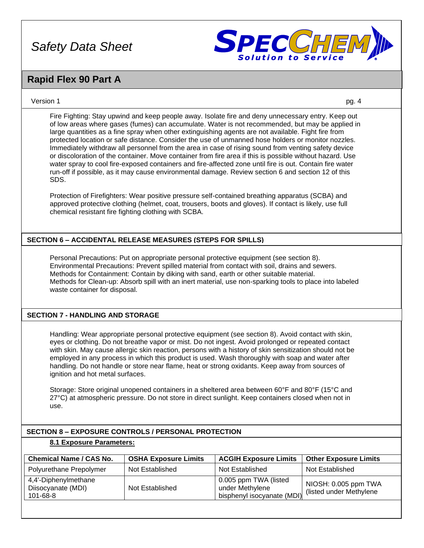

### **Rapid Flex 90 Part A**

### Version 1 pg. 4

Fire Fighting: Stay upwind and keep people away. Isolate fire and deny unnecessary entry. Keep out of low areas where gases (fumes) can accumulate. Water is not recommended, but may be applied in large quantities as a fine spray when other extinguishing agents are not available. Fight fire from protected location or safe distance. Consider the use of unmanned hose holders or monitor nozzles. Immediately withdraw all personnel from the area in case of rising sound from venting safety device or discoloration of the container. Move container from fire area if this is possible without hazard. Use water spray to cool fire-exposed containers and fire-affected zone until fire is out. Contain fire water run-off if possible, as it may cause environmental damage. Review section 6 and section 12 of this SDS.

Protection of Firefighters: Wear positive pressure self-contained breathing apparatus (SCBA) and approved protective clothing (helmet, coat, trousers, boots and gloves). If contact is likely, use full chemical resistant fire fighting clothing with SCBA.

### **SECTION 6 – ACCIDENTAL RELEASE MEASURES (STEPS FOR SPILLS)**

Personal Precautions: Put on appropriate personal protective equipment (see section 8). Environmental Precautions: Prevent spilled material from contact with soil, drains and sewers. Methods for Containment: Contain by diking with sand, earth or other suitable material. Methods for Clean-up: Absorb spill with an inert material, use non-sparking tools to place into labeled waste container for disposal.

### **SECTION 7 - HANDLING AND STORAGE**

Handling: Wear appropriate personal protective equipment (see section 8). Avoid contact with skin, eyes or clothing. Do not breathe vapor or mist. Do not ingest. Avoid prolonged or repeated contact with skin. May cause allergic skin reaction, persons with a history of skin sensitization should not be employed in any process in which this product is used. Wash thoroughly with soap and water after handling. Do not handle or store near flame, heat or strong oxidants. Keep away from sources of ignition and hot metal surfaces.

Storage: Store original unopened containers in a sheltered area between 60°F and 80°F (15°C and 27°C) at atmospheric pressure. Do not store in direct sunlight. Keep containers closed when not in use.

### **SECTION 8 – EXPOSURE CONTROLS / PERSONAL PROTECTION**

### **8.1 Exposure Parameters:**

| <b>Chemical Name / CAS No.</b>                         | <b>OSHA Exposure Limits</b> | <b>ACGIH Exposure Limits</b>                                           | <b>Other Exposure Limits</b>                     |
|--------------------------------------------------------|-----------------------------|------------------------------------------------------------------------|--------------------------------------------------|
| Polyurethane Prepolymer                                | Not Established             | Not Established                                                        | Not Established                                  |
| 4,4'-Diphenylmethane<br>Diisocyanate (MDI)<br>101-68-8 | Not Established             | 0.005 ppm TWA (listed<br>under Methylene<br>bisphenyl isocyanate (MDI) | NIOSH: 0.005 ppm TWA<br>(listed under Methylene) |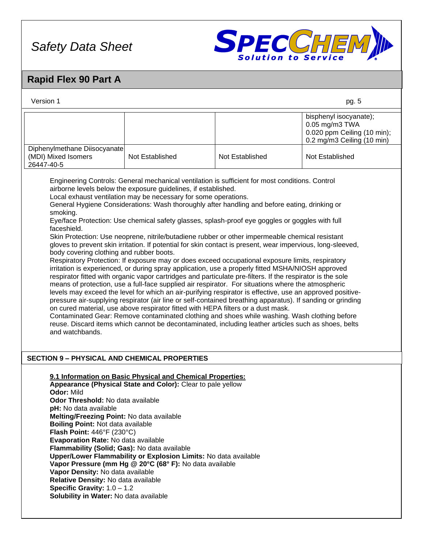

# **Rapid Flex 90 Part A**

| Version 1                                                                                                                                                                                                                                                                                                                                                                                                                                                                                                                                                                                                                                                                                                                                                                                                                                                                                                                                                                                                                                                                                                                                                                                                                                                                                                                                                                                                                                                                                                                                                                                                                                                                                                 |                                                                                                                                                                                                                                                         |                 | pg. 5                                                                                                 |  |
|-----------------------------------------------------------------------------------------------------------------------------------------------------------------------------------------------------------------------------------------------------------------------------------------------------------------------------------------------------------------------------------------------------------------------------------------------------------------------------------------------------------------------------------------------------------------------------------------------------------------------------------------------------------------------------------------------------------------------------------------------------------------------------------------------------------------------------------------------------------------------------------------------------------------------------------------------------------------------------------------------------------------------------------------------------------------------------------------------------------------------------------------------------------------------------------------------------------------------------------------------------------------------------------------------------------------------------------------------------------------------------------------------------------------------------------------------------------------------------------------------------------------------------------------------------------------------------------------------------------------------------------------------------------------------------------------------------------|---------------------------------------------------------------------------------------------------------------------------------------------------------------------------------------------------------------------------------------------------------|-----------------|-------------------------------------------------------------------------------------------------------|--|
|                                                                                                                                                                                                                                                                                                                                                                                                                                                                                                                                                                                                                                                                                                                                                                                                                                                                                                                                                                                                                                                                                                                                                                                                                                                                                                                                                                                                                                                                                                                                                                                                                                                                                                           |                                                                                                                                                                                                                                                         |                 | bisphenyl isocyanate);<br>0.05 mg/m3 TWA<br>0.020 ppm Ceiling (10 min);<br>0.2 mg/m3 Ceiling (10 min) |  |
| Diphenylmethane Diisocyanate<br>(MDI) Mixed Isomers<br>26447-40-5                                                                                                                                                                                                                                                                                                                                                                                                                                                                                                                                                                                                                                                                                                                                                                                                                                                                                                                                                                                                                                                                                                                                                                                                                                                                                                                                                                                                                                                                                                                                                                                                                                         | Not Established                                                                                                                                                                                                                                         | Not Established | Not Established                                                                                       |  |
| Engineering Controls: General mechanical ventilation is sufficient for most conditions. Control<br>airborne levels below the exposure guidelines, if established.<br>Local exhaust ventilation may be necessary for some operations.<br>General Hygiene Considerations: Wash thoroughly after handling and before eating, drinking or<br>smoking.<br>Eye/face Protection: Use chemical safety glasses, splash-proof eye goggles or goggles with full<br>faceshield.<br>Skin Protection: Use neoprene, nitrile/butadiene rubber or other impermeable chemical resistant<br>gloves to prevent skin irritation. If potential for skin contact is present, wear impervious, long-sleeved,<br>body covering clothing and rubber boots.<br>Respiratory Protection: If exposure may or does exceed occupational exposure limits, respiratory<br>irritation is experienced, or during spray application, use a properly fitted MSHA/NIOSH approved<br>respirator fitted with organic vapor cartridges and particulate pre-filters. If the respirator is the sole<br>means of protection, use a full-face supplied air respirator. For situations where the atmospheric<br>levels may exceed the level for which an air-purifying respirator is effective, use an approved positive-<br>pressure air-supplying respirator (air line or self-contained breathing apparatus). If sanding or grinding<br>on cured material, use above respirator fitted with HEPA filters or a dust mask.<br>Contaminated Gear: Remove contaminated clothing and shoes while washing. Wash clothing before<br>reuse. Discard items which cannot be decontaminated, including leather articles such as shoes, belts<br>and watchbands. |                                                                                                                                                                                                                                                         |                 |                                                                                                       |  |
| <b>SECTION 9 - PHYSICAL AND CHEMICAL PROPERTIES</b>                                                                                                                                                                                                                                                                                                                                                                                                                                                                                                                                                                                                                                                                                                                                                                                                                                                                                                                                                                                                                                                                                                                                                                                                                                                                                                                                                                                                                                                                                                                                                                                                                                                       |                                                                                                                                                                                                                                                         |                 |                                                                                                       |  |
| Odor: Mild<br>Odor Threshold: No data available<br>pH: No data available<br>Melting/Freezing Point: No data available<br><b>Boiling Point: Not data available</b><br>Flash Point: 446°F (230°C)<br>Evaporation Rate: No data available<br>Flammability (Solid; Gas): No data available<br>Vapor Density: No data available<br>Relative Density: No data available<br>Specific Gravity: $1.0 - 1.2$<br>Solubility in Water: No data available                                                                                                                                                                                                                                                                                                                                                                                                                                                                                                                                                                                                                                                                                                                                                                                                                                                                                                                                                                                                                                                                                                                                                                                                                                                              | 9.1 Information on Basic Physical and Chemical Properties:<br>Appearance (Physical State and Color): Clear to pale yellow<br>Upper/Lower Flammability or Explosion Limits: No data available<br>Vapor Pressure (mm Hg @ 20°C (68° F): No data available |                 |                                                                                                       |  |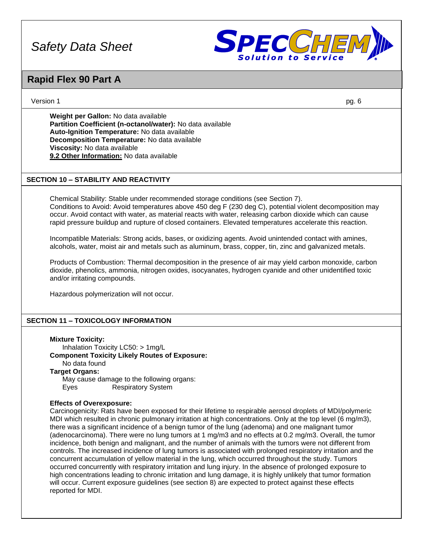

### **Rapid Flex 90 Part A**

Version 1 pg. 6

**Weight per Gallon:** No data available **Partition Coefficient (n-octanol/water):** No data available **Auto-Ignition Temperature:** No data available **Decomposition Temperature:** No data available **Viscosity:** No data available **9.2 Other Information:** No data available

### **SECTION 10 – STABILITY AND REACTIVITY**

Chemical Stability: Stable under recommended storage conditions (see Section 7). Conditions to Avoid: Avoid temperatures above 450 deg F (230 deg C), potential violent decomposition may occur. Avoid contact with water, as material reacts with water, releasing carbon dioxide which can cause rapid pressure buildup and rupture of closed containers. Elevated temperatures accelerate this reaction.

Incompatible Materials: Strong acids, bases, or oxidizing agents. Avoid unintended contact with amines, alcohols, water, moist air and metals such as aluminum, brass, copper, tin, zinc and galvanized metals.

Products of Combustion: Thermal decomposition in the presence of air may yield carbon monoxide, carbon dioxide, phenolics, ammonia, nitrogen oxides, isocyanates, hydrogen cyanide and other unidentified toxic and/or irritating compounds.

Hazardous polymerization will not occur.

### **SECTION 11 – TOXICOLOGY INFORMATION**

#### **Mixture Toxicity:**

Inhalation Toxicity LC50: > 1mg/L **Component Toxicity Likely Routes of Exposure:** No data found **Target Organs:** May cause damage to the following organs: Eyes Respiratory System

### **Effects of Overexposure:**

Carcinogenicity: Rats have been exposed for their lifetime to respirable aerosol droplets of MDI/polymeric MDI which resulted in chronic pulmonary irritation at high concentrations. Only at the top level (6 mg/m3), there was a significant incidence of a benign tumor of the lung (adenoma) and one malignant tumor (adenocarcinoma). There were no lung tumors at 1 mg/m3 and no effects at 0.2 mg/m3. Overall, the tumor incidence, both benign and malignant, and the number of animals with the tumors were not different from controls. The increased incidence of lung tumors is associated with prolonged respiratory irritation and the concurrent accumulation of yellow material in the lung, which occurred throughout the study. Tumors occurred concurrently with respiratory irritation and lung injury. In the absence of prolonged exposure to high concentrations leading to chronic irritation and lung damage, it is highly unlikely that tumor formation will occur. Current exposure guidelines (see section 8) are expected to protect against these effects reported for MDI.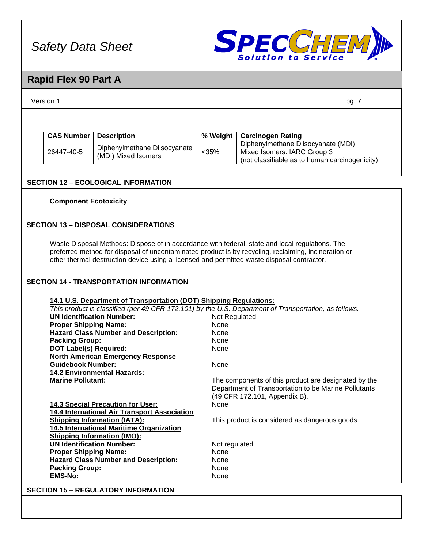

# **Rapid Flex 90 Part A**

| Version 1<br>pg. 7                                                                                    |                                                                                            |                       |                                                                                                                                                                                                         |  |  |
|-------------------------------------------------------------------------------------------------------|--------------------------------------------------------------------------------------------|-----------------------|---------------------------------------------------------------------------------------------------------------------------------------------------------------------------------------------------------|--|--|
|                                                                                                       |                                                                                            |                       |                                                                                                                                                                                                         |  |  |
|                                                                                                       |                                                                                            |                       |                                                                                                                                                                                                         |  |  |
| <b>CAS Number</b>                                                                                     | <b>Description</b>                                                                         | % Weight              | <b>Carcinogen Rating</b>                                                                                                                                                                                |  |  |
|                                                                                                       | Diphenylmethane Diisocyanate                                                               |                       | Diphenylmethane Diisocyanate (MDI)                                                                                                                                                                      |  |  |
| 26447-40-5                                                                                            | (MDI) Mixed Isomers                                                                        | $<$ 35%               | Mixed Isomers: IARC Group 3                                                                                                                                                                             |  |  |
|                                                                                                       |                                                                                            |                       | (not classifiable as to human carcinogenicity)                                                                                                                                                          |  |  |
|                                                                                                       |                                                                                            |                       |                                                                                                                                                                                                         |  |  |
|                                                                                                       | <b>SECTION 12 - ECOLOGICAL INFORMATION</b>                                                 |                       |                                                                                                                                                                                                         |  |  |
| <b>Component Ecotoxicity</b>                                                                          |                                                                                            |                       |                                                                                                                                                                                                         |  |  |
|                                                                                                       |                                                                                            |                       |                                                                                                                                                                                                         |  |  |
|                                                                                                       |                                                                                            |                       |                                                                                                                                                                                                         |  |  |
|                                                                                                       | <b>SECTION 13 - DISPOSAL CONSIDERATIONS</b>                                                |                       |                                                                                                                                                                                                         |  |  |
|                                                                                                       |                                                                                            |                       |                                                                                                                                                                                                         |  |  |
|                                                                                                       |                                                                                            |                       | Waste Disposal Methods: Dispose of in accordance with federal, state and local regulations. The<br>preferred method for disposal of uncontaminated product is by recycling, reclaiming, incineration or |  |  |
|                                                                                                       | other thermal destruction device using a licensed and permitted waste disposal contractor. |                       |                                                                                                                                                                                                         |  |  |
|                                                                                                       |                                                                                            |                       |                                                                                                                                                                                                         |  |  |
|                                                                                                       | <b>SECTION 14 - TRANSPORTATION INFORMATION</b>                                             |                       |                                                                                                                                                                                                         |  |  |
|                                                                                                       |                                                                                            |                       |                                                                                                                                                                                                         |  |  |
|                                                                                                       | 14.1 U.S. Department of Transportation (DOT) Shipping Regulations:                         |                       |                                                                                                                                                                                                         |  |  |
| This product is classified (per 49 CFR 172.101) by the U.S. Department of Transportation, as follows. |                                                                                            |                       |                                                                                                                                                                                                         |  |  |
| <b>UN Identification Number:</b>                                                                      |                                                                                            | Not Regulated         |                                                                                                                                                                                                         |  |  |
| <b>Proper Shipping Name:</b>                                                                          |                                                                                            | None                  |                                                                                                                                                                                                         |  |  |
|                                                                                                       | <b>Hazard Class Number and Description:</b>                                                | None                  |                                                                                                                                                                                                         |  |  |
| <b>Packing Group:</b>                                                                                 |                                                                                            | None                  |                                                                                                                                                                                                         |  |  |
| <b>DOT Label(s) Required:</b>                                                                         |                                                                                            | None                  |                                                                                                                                                                                                         |  |  |
|                                                                                                       | <b>North American Emergency Response</b>                                                   |                       |                                                                                                                                                                                                         |  |  |
| <b>Guidebook Number:</b>                                                                              |                                                                                            | None                  |                                                                                                                                                                                                         |  |  |
|                                                                                                       | <b>14.2 Environmental Hazards:</b>                                                         |                       |                                                                                                                                                                                                         |  |  |
| <b>Marine Pollutant:</b>                                                                              |                                                                                            |                       | The components of this product are designated by the                                                                                                                                                    |  |  |
|                                                                                                       |                                                                                            |                       | Department of Transportation to be Marine Pollutants                                                                                                                                                    |  |  |
|                                                                                                       |                                                                                            |                       | (49 CFR 172.101, Appendix B).                                                                                                                                                                           |  |  |
|                                                                                                       | 14.3 Special Precaution for User:                                                          | None                  |                                                                                                                                                                                                         |  |  |
|                                                                                                       | 14.4 International Air Transport Association                                               |                       |                                                                                                                                                                                                         |  |  |
|                                                                                                       | <b>Shipping Information (IATA):</b>                                                        |                       | This product is considered as dangerous goods.                                                                                                                                                          |  |  |
|                                                                                                       | 14.5 International Maritime Organization<br><b>Shipping Information (IMO):</b>             |                       |                                                                                                                                                                                                         |  |  |
| <b>UN Identification Number:</b>                                                                      |                                                                                            |                       |                                                                                                                                                                                                         |  |  |
| <b>Proper Shipping Name:</b>                                                                          |                                                                                            | Not regulated<br>None |                                                                                                                                                                                                         |  |  |
|                                                                                                       | <b>Hazard Class Number and Description:</b>                                                | None                  |                                                                                                                                                                                                         |  |  |
| <b>Packing Group:</b>                                                                                 |                                                                                            | None                  |                                                                                                                                                                                                         |  |  |
| <b>EMS-No:</b>                                                                                        |                                                                                            | None                  |                                                                                                                                                                                                         |  |  |
|                                                                                                       |                                                                                            |                       |                                                                                                                                                                                                         |  |  |
|                                                                                                       | <b>SECTION 15 - REGULATORY INFORMATION</b>                                                 |                       |                                                                                                                                                                                                         |  |  |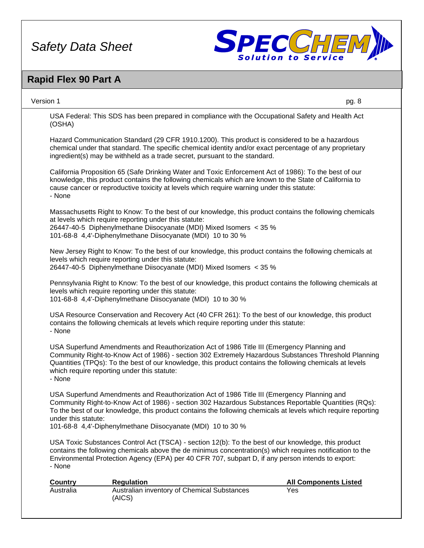

### **Rapid Flex 90 Part A**

Version 1 pg. 8

USA Federal: This SDS has been prepared in compliance with the Occupational Safety and Health Act (OSHA)

Hazard Communication Standard (29 CFR 1910.1200). This product is considered to be a hazardous chemical under that standard. The specific chemical identity and/or exact percentage of any proprietary ingredient(s) may be withheld as a trade secret, pursuant to the standard.

California Proposition 65 (Safe Drinking Water and Toxic Enforcement Act of 1986): To the best of our knowledge, this product contains the following chemicals which are known to the State of California to cause cancer or reproductive toxicity at levels which require warning under this statute: - None

Massachusetts Right to Know: To the best of our knowledge, this product contains the following chemicals at levels which require reporting under this statute: 26447-40-5 Diphenylmethane Diisocyanate (MDI) Mixed Isomers < 35 %

101-68-8 4,4'-Diphenylmethane Diisocyanate (MDI) 10 to 30 %

New Jersey Right to Know: To the best of our knowledge, this product contains the following chemicals at levels which require reporting under this statute: 26447-40-5 Diphenylmethane Diisocyanate (MDI) Mixed Isomers < 35 %

Pennsylvania Right to Know: To the best of our knowledge, this product contains the following chemicals at levels which require reporting under this statute: 101-68-8 4,4'-Diphenylmethane Diisocyanate (MDI) 10 to 30 %

USA Resource Conservation and Recovery Act (40 CFR 261): To the best of our knowledge, this product contains the following chemicals at levels which require reporting under this statute: - None

USA Superfund Amendments and Reauthorization Act of 1986 Title III (Emergency Planning and Community Right-to-Know Act of 1986) - section 302 Extremely Hazardous Substances Threshold Planning Quantities (TPQs): To the best of our knowledge, this product contains the following chemicals at levels which require reporting under this statute: - None

USA Superfund Amendments and Reauthorization Act of 1986 Title III (Emergency Planning and Community Right-to-Know Act of 1986) - section 302 Hazardous Substances Reportable Quantities (RQs): To the best of our knowledge, this product contains the following chemicals at levels which require reporting under this statute:

101-68-8 4,4'-Diphenylmethane Diisocyanate (MDI) 10 to 30 %

USA Toxic Substances Control Act (TSCA) - section 12(b): To the best of our knowledge, this product contains the following chemicals above the de minimus concentration(s) which requires notification to the Environmental Protection Agency (EPA) per 40 CFR 707, subpart D, if any person intends to export: - None

| Country   | <b>Regulation</b>                                     | <b>All Components Listed</b> |
|-----------|-------------------------------------------------------|------------------------------|
| Australia | Australian inventory of Chemical Substances<br>(AICS) | Yes                          |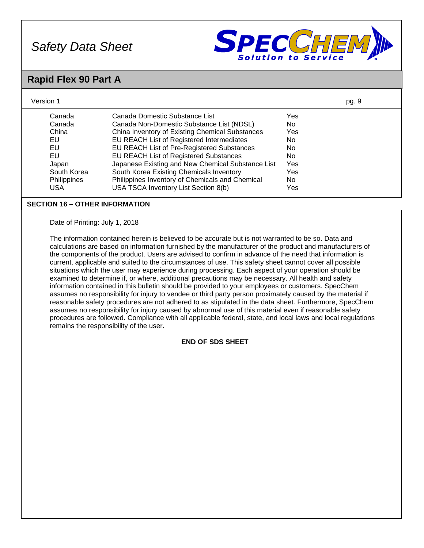

# **Rapid Flex 90 Part A**

| Canada<br>Canada Domestic Substance List<br>Yes<br>Canada<br>No<br>Canada Non-Domestic Substance List (NDSL)<br>China<br>China Inventory of Existing Chemical Substances<br>Yes<br><b>EU</b><br>EU REACH List of Registered Intermediates<br>No.<br><b>EU</b><br>EU REACH List of Pre-Registered Substances<br><b>No</b><br><b>EU</b><br><b>No</b><br>EU REACH List of Registered Substances<br>Japanese Existing and New Chemical Substance List<br>Yes<br>Japan<br>South Korea<br>South Korea Existing Chemicals Inventory<br>Yes<br>Philippines Inventory of Chemicals and Chemical<br>No<br>Philippines<br>USA TSCA Inventory List Section 8(b)<br><b>USA</b><br>Yes<br><b>SECTION 16 - OTHER INFORMATION</b><br>Date of Printing: July 1, 2018<br>The information contained herein is believed to be accurate but is not warranted to be so. Data and<br>calculations are based on information furnished by the manufacturer of the product and manufacturers of<br>the components of the product. Users are advised to confirm in advance of the need that information is<br>current, applicable and suited to the circumstances of use. This safety sheet cannot cover all possible<br>situations which the user may experience during processing. Each aspect of your operation should be<br>examined to determine if, or where, additional precautions may be necessary. All health and safety<br>information contained in this bulletin should be provided to your employees or customers. SpecChem<br>assumes no responsibility for injury to vendee or third party person proximately caused by the material if<br>reasonable safety procedures are not adhered to as stipulated in the data sheet. Furthermore, SpecChem<br>assumes no responsibility for injury caused by abnormal use of this material even if reasonable safety<br>procedures are followed. Compliance with all applicable federal, state, and local laws and local regulations<br>remains the responsibility of the user.<br><b>END OF SDS SHEET</b> | Version 1 | pg. 9 |
|---------------------------------------------------------------------------------------------------------------------------------------------------------------------------------------------------------------------------------------------------------------------------------------------------------------------------------------------------------------------------------------------------------------------------------------------------------------------------------------------------------------------------------------------------------------------------------------------------------------------------------------------------------------------------------------------------------------------------------------------------------------------------------------------------------------------------------------------------------------------------------------------------------------------------------------------------------------------------------------------------------------------------------------------------------------------------------------------------------------------------------------------------------------------------------------------------------------------------------------------------------------------------------------------------------------------------------------------------------------------------------------------------------------------------------------------------------------------------------------------------------------------------------------------------------------------------------------------------------------------------------------------------------------------------------------------------------------------------------------------------------------------------------------------------------------------------------------------------------------------------------------------------------------------------------------------------------------------------------------------------------------------------------------|-----------|-------|
|                                                                                                                                                                                                                                                                                                                                                                                                                                                                                                                                                                                                                                                                                                                                                                                                                                                                                                                                                                                                                                                                                                                                                                                                                                                                                                                                                                                                                                                                                                                                                                                                                                                                                                                                                                                                                                                                                                                                                                                                                                       |           |       |
|                                                                                                                                                                                                                                                                                                                                                                                                                                                                                                                                                                                                                                                                                                                                                                                                                                                                                                                                                                                                                                                                                                                                                                                                                                                                                                                                                                                                                                                                                                                                                                                                                                                                                                                                                                                                                                                                                                                                                                                                                                       |           |       |
|                                                                                                                                                                                                                                                                                                                                                                                                                                                                                                                                                                                                                                                                                                                                                                                                                                                                                                                                                                                                                                                                                                                                                                                                                                                                                                                                                                                                                                                                                                                                                                                                                                                                                                                                                                                                                                                                                                                                                                                                                                       |           |       |
|                                                                                                                                                                                                                                                                                                                                                                                                                                                                                                                                                                                                                                                                                                                                                                                                                                                                                                                                                                                                                                                                                                                                                                                                                                                                                                                                                                                                                                                                                                                                                                                                                                                                                                                                                                                                                                                                                                                                                                                                                                       |           |       |
|                                                                                                                                                                                                                                                                                                                                                                                                                                                                                                                                                                                                                                                                                                                                                                                                                                                                                                                                                                                                                                                                                                                                                                                                                                                                                                                                                                                                                                                                                                                                                                                                                                                                                                                                                                                                                                                                                                                                                                                                                                       |           |       |
|                                                                                                                                                                                                                                                                                                                                                                                                                                                                                                                                                                                                                                                                                                                                                                                                                                                                                                                                                                                                                                                                                                                                                                                                                                                                                                                                                                                                                                                                                                                                                                                                                                                                                                                                                                                                                                                                                                                                                                                                                                       |           |       |
|                                                                                                                                                                                                                                                                                                                                                                                                                                                                                                                                                                                                                                                                                                                                                                                                                                                                                                                                                                                                                                                                                                                                                                                                                                                                                                                                                                                                                                                                                                                                                                                                                                                                                                                                                                                                                                                                                                                                                                                                                                       |           |       |
|                                                                                                                                                                                                                                                                                                                                                                                                                                                                                                                                                                                                                                                                                                                                                                                                                                                                                                                                                                                                                                                                                                                                                                                                                                                                                                                                                                                                                                                                                                                                                                                                                                                                                                                                                                                                                                                                                                                                                                                                                                       |           |       |
|                                                                                                                                                                                                                                                                                                                                                                                                                                                                                                                                                                                                                                                                                                                                                                                                                                                                                                                                                                                                                                                                                                                                                                                                                                                                                                                                                                                                                                                                                                                                                                                                                                                                                                                                                                                                                                                                                                                                                                                                                                       |           |       |
|                                                                                                                                                                                                                                                                                                                                                                                                                                                                                                                                                                                                                                                                                                                                                                                                                                                                                                                                                                                                                                                                                                                                                                                                                                                                                                                                                                                                                                                                                                                                                                                                                                                                                                                                                                                                                                                                                                                                                                                                                                       |           |       |
|                                                                                                                                                                                                                                                                                                                                                                                                                                                                                                                                                                                                                                                                                                                                                                                                                                                                                                                                                                                                                                                                                                                                                                                                                                                                                                                                                                                                                                                                                                                                                                                                                                                                                                                                                                                                                                                                                                                                                                                                                                       |           |       |
|                                                                                                                                                                                                                                                                                                                                                                                                                                                                                                                                                                                                                                                                                                                                                                                                                                                                                                                                                                                                                                                                                                                                                                                                                                                                                                                                                                                                                                                                                                                                                                                                                                                                                                                                                                                                                                                                                                                                                                                                                                       |           |       |
|                                                                                                                                                                                                                                                                                                                                                                                                                                                                                                                                                                                                                                                                                                                                                                                                                                                                                                                                                                                                                                                                                                                                                                                                                                                                                                                                                                                                                                                                                                                                                                                                                                                                                                                                                                                                                                                                                                                                                                                                                                       |           |       |
|                                                                                                                                                                                                                                                                                                                                                                                                                                                                                                                                                                                                                                                                                                                                                                                                                                                                                                                                                                                                                                                                                                                                                                                                                                                                                                                                                                                                                                                                                                                                                                                                                                                                                                                                                                                                                                                                                                                                                                                                                                       |           |       |
|                                                                                                                                                                                                                                                                                                                                                                                                                                                                                                                                                                                                                                                                                                                                                                                                                                                                                                                                                                                                                                                                                                                                                                                                                                                                                                                                                                                                                                                                                                                                                                                                                                                                                                                                                                                                                                                                                                                                                                                                                                       |           |       |
|                                                                                                                                                                                                                                                                                                                                                                                                                                                                                                                                                                                                                                                                                                                                                                                                                                                                                                                                                                                                                                                                                                                                                                                                                                                                                                                                                                                                                                                                                                                                                                                                                                                                                                                                                                                                                                                                                                                                                                                                                                       |           |       |
|                                                                                                                                                                                                                                                                                                                                                                                                                                                                                                                                                                                                                                                                                                                                                                                                                                                                                                                                                                                                                                                                                                                                                                                                                                                                                                                                                                                                                                                                                                                                                                                                                                                                                                                                                                                                                                                                                                                                                                                                                                       |           |       |
|                                                                                                                                                                                                                                                                                                                                                                                                                                                                                                                                                                                                                                                                                                                                                                                                                                                                                                                                                                                                                                                                                                                                                                                                                                                                                                                                                                                                                                                                                                                                                                                                                                                                                                                                                                                                                                                                                                                                                                                                                                       |           |       |
|                                                                                                                                                                                                                                                                                                                                                                                                                                                                                                                                                                                                                                                                                                                                                                                                                                                                                                                                                                                                                                                                                                                                                                                                                                                                                                                                                                                                                                                                                                                                                                                                                                                                                                                                                                                                                                                                                                                                                                                                                                       |           |       |
|                                                                                                                                                                                                                                                                                                                                                                                                                                                                                                                                                                                                                                                                                                                                                                                                                                                                                                                                                                                                                                                                                                                                                                                                                                                                                                                                                                                                                                                                                                                                                                                                                                                                                                                                                                                                                                                                                                                                                                                                                                       |           |       |
|                                                                                                                                                                                                                                                                                                                                                                                                                                                                                                                                                                                                                                                                                                                                                                                                                                                                                                                                                                                                                                                                                                                                                                                                                                                                                                                                                                                                                                                                                                                                                                                                                                                                                                                                                                                                                                                                                                                                                                                                                                       |           |       |
|                                                                                                                                                                                                                                                                                                                                                                                                                                                                                                                                                                                                                                                                                                                                                                                                                                                                                                                                                                                                                                                                                                                                                                                                                                                                                                                                                                                                                                                                                                                                                                                                                                                                                                                                                                                                                                                                                                                                                                                                                                       |           |       |
|                                                                                                                                                                                                                                                                                                                                                                                                                                                                                                                                                                                                                                                                                                                                                                                                                                                                                                                                                                                                                                                                                                                                                                                                                                                                                                                                                                                                                                                                                                                                                                                                                                                                                                                                                                                                                                                                                                                                                                                                                                       |           |       |
|                                                                                                                                                                                                                                                                                                                                                                                                                                                                                                                                                                                                                                                                                                                                                                                                                                                                                                                                                                                                                                                                                                                                                                                                                                                                                                                                                                                                                                                                                                                                                                                                                                                                                                                                                                                                                                                                                                                                                                                                                                       |           |       |
|                                                                                                                                                                                                                                                                                                                                                                                                                                                                                                                                                                                                                                                                                                                                                                                                                                                                                                                                                                                                                                                                                                                                                                                                                                                                                                                                                                                                                                                                                                                                                                                                                                                                                                                                                                                                                                                                                                                                                                                                                                       |           |       |
|                                                                                                                                                                                                                                                                                                                                                                                                                                                                                                                                                                                                                                                                                                                                                                                                                                                                                                                                                                                                                                                                                                                                                                                                                                                                                                                                                                                                                                                                                                                                                                                                                                                                                                                                                                                                                                                                                                                                                                                                                                       |           |       |
|                                                                                                                                                                                                                                                                                                                                                                                                                                                                                                                                                                                                                                                                                                                                                                                                                                                                                                                                                                                                                                                                                                                                                                                                                                                                                                                                                                                                                                                                                                                                                                                                                                                                                                                                                                                                                                                                                                                                                                                                                                       |           |       |
|                                                                                                                                                                                                                                                                                                                                                                                                                                                                                                                                                                                                                                                                                                                                                                                                                                                                                                                                                                                                                                                                                                                                                                                                                                                                                                                                                                                                                                                                                                                                                                                                                                                                                                                                                                                                                                                                                                                                                                                                                                       |           |       |
|                                                                                                                                                                                                                                                                                                                                                                                                                                                                                                                                                                                                                                                                                                                                                                                                                                                                                                                                                                                                                                                                                                                                                                                                                                                                                                                                                                                                                                                                                                                                                                                                                                                                                                                                                                                                                                                                                                                                                                                                                                       |           |       |
|                                                                                                                                                                                                                                                                                                                                                                                                                                                                                                                                                                                                                                                                                                                                                                                                                                                                                                                                                                                                                                                                                                                                                                                                                                                                                                                                                                                                                                                                                                                                                                                                                                                                                                                                                                                                                                                                                                                                                                                                                                       |           |       |
|                                                                                                                                                                                                                                                                                                                                                                                                                                                                                                                                                                                                                                                                                                                                                                                                                                                                                                                                                                                                                                                                                                                                                                                                                                                                                                                                                                                                                                                                                                                                                                                                                                                                                                                                                                                                                                                                                                                                                                                                                                       |           |       |
|                                                                                                                                                                                                                                                                                                                                                                                                                                                                                                                                                                                                                                                                                                                                                                                                                                                                                                                                                                                                                                                                                                                                                                                                                                                                                                                                                                                                                                                                                                                                                                                                                                                                                                                                                                                                                                                                                                                                                                                                                                       |           |       |
|                                                                                                                                                                                                                                                                                                                                                                                                                                                                                                                                                                                                                                                                                                                                                                                                                                                                                                                                                                                                                                                                                                                                                                                                                                                                                                                                                                                                                                                                                                                                                                                                                                                                                                                                                                                                                                                                                                                                                                                                                                       |           |       |
|                                                                                                                                                                                                                                                                                                                                                                                                                                                                                                                                                                                                                                                                                                                                                                                                                                                                                                                                                                                                                                                                                                                                                                                                                                                                                                                                                                                                                                                                                                                                                                                                                                                                                                                                                                                                                                                                                                                                                                                                                                       |           |       |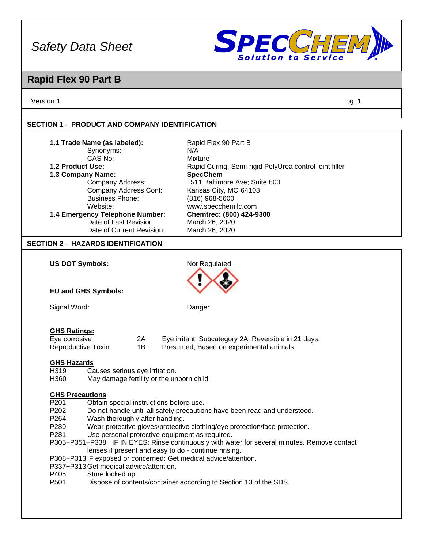

## **Rapid Flex 90 Part B**

Version 1 pg. 1

### **SECTION 1 – PRODUCT AND COMPANY IDENTIFICATION**

| Rapid Flex 90 Part B<br><b>Mixture</b><br>Rapid Curing, Semi-rigid PolyUrea control joint filler<br><b>SpecChem</b><br>1511 Baltimore Ave; Suite 600<br>Kansas City, MO 64108<br>(816) 968-5600<br>www.specchemllc.com<br>Chemtrec: (800) 424-9300                                                                                                                                                                                                                                                                                                   |
|------------------------------------------------------------------------------------------------------------------------------------------------------------------------------------------------------------------------------------------------------------------------------------------------------------------------------------------------------------------------------------------------------------------------------------------------------------------------------------------------------------------------------------------------------|
| March 26, 2020<br>March 26, 2020                                                                                                                                                                                                                                                                                                                                                                                                                                                                                                                     |
|                                                                                                                                                                                                                                                                                                                                                                                                                                                                                                                                                      |
| Not Regulated                                                                                                                                                                                                                                                                                                                                                                                                                                                                                                                                        |
|                                                                                                                                                                                                                                                                                                                                                                                                                                                                                                                                                      |
| Danger                                                                                                                                                                                                                                                                                                                                                                                                                                                                                                                                               |
| Eye irritant: Subcategory 2A, Reversible in 21 days.<br>Presumed, Based on experimental animals.                                                                                                                                                                                                                                                                                                                                                                                                                                                     |
| May damage fertility or the unborn child                                                                                                                                                                                                                                                                                                                                                                                                                                                                                                             |
| Obtain special instructions before use.<br>Do not handle until all safety precautions have been read and understood.<br>Wear protective gloves/protective clothing/eye protection/face protection.<br>Use personal protective equipment as required.<br>P305+P351+P338 IF IN EYES: Rinse continuously with water for several minutes. Remove contact<br>lenses if present and easy to do - continue rinsing.<br>P308+P313IF exposed or concerned: Get medical advice/attention.<br>Dispose of contents/container according to Section 13 of the SDS. |
| N/A                                                                                                                                                                                                                                                                                                                                                                                                                                                                                                                                                  |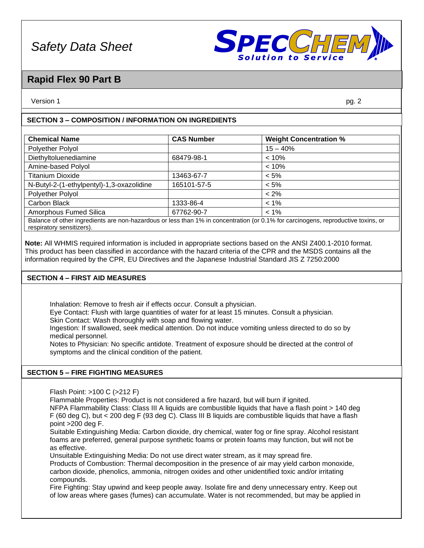

### **Rapid Flex 90 Part B**

Version 1 pg. 2

### **SECTION 3 – COMPOSITION / INFORMATION ON INGREDIENTS**

| <b>CAS Number</b> | <b>Weight Concentration %</b> |
|-------------------|-------------------------------|
|                   | $15 - 40%$                    |
| 68479-98-1        | $< 10\%$                      |
|                   | $< 10\%$                      |
| 13463-67-7        | $< 5\%$                       |
| 165101-57-5       | $< 5\%$                       |
|                   | $< 2\%$                       |
| 1333-86-4         | $< 1\%$                       |
| 67762-90-7        | $< 1\%$                       |
|                   |                               |

Balance of other ingredients are non-hazardous or less than 1% in concentration (or 0.1% for carcinogens, reproductive toxins, or respiratory sensitizers).

**Note:** All WHMIS required information is included in appropriate sections based on the ANSI Z400.1-2010 format. This product has been classified in accordance with the hazard criteria of the CPR and the MSDS contains all the information required by the CPR, EU Directives and the Japanese Industrial Standard JIS Z 7250:2000

### **SECTION 4 – FIRST AID MEASURES**

Inhalation: Remove to fresh air if effects occur. Consult a physician.

Eye Contact: Flush with large quantities of water for at least 15 minutes. Consult a physician.

Skin Contact: Wash thoroughly with soap and flowing water.

Ingestion: If swallowed, seek medical attention. Do not induce vomiting unless directed to do so by medical personnel.

Notes to Physician: No specific antidote. Treatment of exposure should be directed at the control of symptoms and the clinical condition of the patient.

### **SECTION 5 – FIRE FIGHTING MEASURES**

Flash Point: >100 C (>212 F)

Flammable Properties: Product is not considered a fire hazard, but will burn if ignited.

NFPA Flammability Class: Class III A liquids are combustible liquids that have a flash point > 140 deg F (60 deg C), but < 200 deg F (93 deg C). Class III B liquids are combustible liquids that have a flash point >200 deg F.

Suitable Extinguishing Media: Carbon dioxide, dry chemical, water fog or fine spray. Alcohol resistant foams are preferred, general purpose synthetic foams or protein foams may function, but will not be as effective.

Unsuitable Extinguishing Media: Do not use direct water stream, as it may spread fire.

Products of Combustion: Thermal decomposition in the presence of air may yield carbon monoxide, carbon dioxide, phenolics, ammonia, nitrogen oxides and other unidentified toxic and/or irritating compounds.

Fire Fighting: Stay upwind and keep people away. Isolate fire and deny unnecessary entry. Keep out of low areas where gases (fumes) can accumulate. Water is not recommended, but may be applied in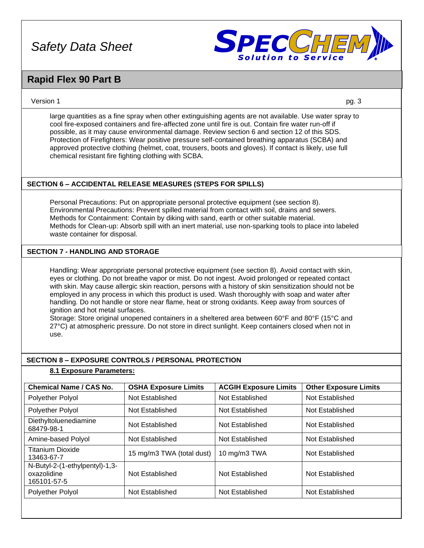

### **Rapid Flex 90 Part B**

### Version 1 pg. 3

large quantities as a fine spray when other extinguishing agents are not available. Use water spray to cool fire-exposed containers and fire-affected zone until fire is out. Contain fire water run-off if possible, as it may cause environmental damage. Review section 6 and section 12 of this SDS. Protection of Firefighters: Wear positive pressure self-contained breathing apparatus (SCBA) and approved protective clothing (helmet, coat, trousers, boots and gloves). If contact is likely, use full chemical resistant fire fighting clothing with SCBA.

### **SECTION 6 – ACCIDENTAL RELEASE MEASURES (STEPS FOR SPILLS)**

Personal Precautions: Put on appropriate personal protective equipment (see section 8). Environmental Precautions: Prevent spilled material from contact with soil, drains and sewers. Methods for Containment: Contain by diking with sand, earth or other suitable material. Methods for Clean-up: Absorb spill with an inert material, use non-sparking tools to place into labeled waste container for disposal.

### **SECTION 7 - HANDLING AND STORAGE**

Handling: Wear appropriate personal protective equipment (see section 8). Avoid contact with skin, eyes or clothing. Do not breathe vapor or mist. Do not ingest. Avoid prolonged or repeated contact with skin. May cause allergic skin reaction, persons with a history of skin sensitization should not be employed in any process in which this product is used. Wash thoroughly with soap and water after handling. Do not handle or store near flame, heat or strong oxidants. Keep away from sources of ignition and hot metal surfaces.

Storage: Store original unopened containers in a sheltered area between 60°F and 80°F (15°C and 27°C) at atmospheric pressure. Do not store in direct sunlight. Keep containers closed when not in use.

### **SECTION 8 – EXPOSURE CONTROLS / PERSONAL PROTECTION**

#### **8.1 Exposure Parameters:**

| <b>Chemical Name / CAS No.</b>                               | <b>OSHA Exposure Limits</b> | <b>ACGIH Exposure Limits</b> | <b>Other Exposure Limits</b> |
|--------------------------------------------------------------|-----------------------------|------------------------------|------------------------------|
| <b>Polyether Polyol</b>                                      | Not Established             | Not Established              | Not Established              |
| Polyether Polyol                                             | Not Established             | Not Established              | Not Established              |
| Diethyltoluenediamine<br>68479-98-1                          | Not Established             | Not Established              | Not Established              |
| Amine-based Polyol                                           | Not Established             | Not Established              | Not Established              |
| <b>Titanium Dioxide</b><br>13463-67-7                        | 15 mg/m3 TWA (total dust)   | 10 mg/m3 TWA                 | Not Established              |
| N-Butyl-2-(1-ethylpentyl)-1,3-<br>oxazolidine<br>165101-57-5 | Not Established             | Not Established              | Not Established              |
| Polyether Polyol                                             | Not Established             | Not Established              | Not Established              |
|                                                              |                             |                              |                              |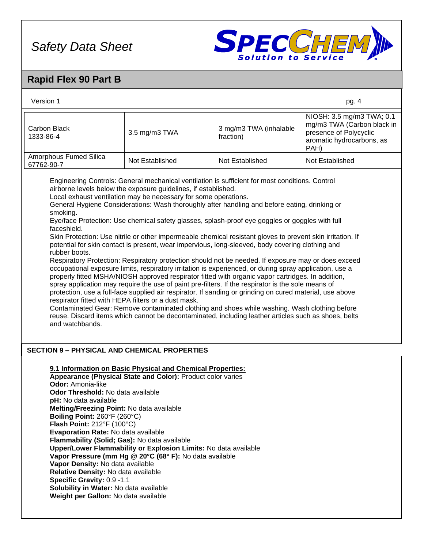

## **Rapid Flex 90 Part B**

| Version 1                                                                                                                                                                                                                                                                                                                                                                                                                                                                                                                                                                                                                                                                                                                                                                                                                                                                                                                                                                                                                                                                                                                                                                                                                                                                                                                                                                                                                                                                                                                          |                                                                                                                                                                                                                                                         |                                     | pg. 4                                                                                                                  |  |  |  |
|------------------------------------------------------------------------------------------------------------------------------------------------------------------------------------------------------------------------------------------------------------------------------------------------------------------------------------------------------------------------------------------------------------------------------------------------------------------------------------------------------------------------------------------------------------------------------------------------------------------------------------------------------------------------------------------------------------------------------------------------------------------------------------------------------------------------------------------------------------------------------------------------------------------------------------------------------------------------------------------------------------------------------------------------------------------------------------------------------------------------------------------------------------------------------------------------------------------------------------------------------------------------------------------------------------------------------------------------------------------------------------------------------------------------------------------------------------------------------------------------------------------------------------|---------------------------------------------------------------------------------------------------------------------------------------------------------------------------------------------------------------------------------------------------------|-------------------------------------|------------------------------------------------------------------------------------------------------------------------|--|--|--|
| Carbon Black<br>1333-86-4                                                                                                                                                                                                                                                                                                                                                                                                                                                                                                                                                                                                                                                                                                                                                                                                                                                                                                                                                                                                                                                                                                                                                                                                                                                                                                                                                                                                                                                                                                          | 3.5 mg/m3 TWA                                                                                                                                                                                                                                           | 3 mg/m3 TWA (inhalable<br>fraction) | NIOSH: 3.5 mg/m3 TWA; 0.1<br>mg/m3 TWA (Carbon black in<br>presence of Polycyclic<br>aromatic hydrocarbons, as<br>PAH) |  |  |  |
| Amorphous Fumed Silica<br>67762-90-7                                                                                                                                                                                                                                                                                                                                                                                                                                                                                                                                                                                                                                                                                                                                                                                                                                                                                                                                                                                                                                                                                                                                                                                                                                                                                                                                                                                                                                                                                               | Not Established                                                                                                                                                                                                                                         | Not Established                     | Not Established                                                                                                        |  |  |  |
| Engineering Controls: General mechanical ventilation is sufficient for most conditions. Control<br>airborne levels below the exposure guidelines, if established.<br>Local exhaust ventilation may be necessary for some operations.<br>General Hygiene Considerations: Wash thoroughly after handling and before eating, drinking or<br>smoking.<br>Eye/face Protection: Use chemical safety glasses, splash-proof eye goggles or goggles with full<br>faceshield.<br>Skin Protection: Use nitrile or other impermeable chemical resistant gloves to prevent skin irritation. If<br>potential for skin contact is present, wear impervious, long-sleeved, body covering clothing and<br>rubber boots.<br>Respiratory Protection: Respiratory protection should not be needed. If exposure may or does exceed<br>occupational exposure limits, respiratory irritation is experienced, or during spray application, use a<br>properly fitted MSHA/NIOSH approved respirator fitted with organic vapor cartridges. In addition,<br>spray application may require the use of paint pre-filters. If the respirator is the sole means of<br>protection, use a full-face supplied air respirator. If sanding or grinding on cured material, use above<br>respirator fitted with HEPA filters or a dust mask.<br>Contaminated Gear: Remove contaminated clothing and shoes while washing. Wash clothing before<br>reuse. Discard items which cannot be decontaminated, including leather articles such as shoes, belts<br>and watchbands. |                                                                                                                                                                                                                                                         |                                     |                                                                                                                        |  |  |  |
| <b>SECTION 9 - PHYSICAL AND CHEMICAL PROPERTIES</b>                                                                                                                                                                                                                                                                                                                                                                                                                                                                                                                                                                                                                                                                                                                                                                                                                                                                                                                                                                                                                                                                                                                                                                                                                                                                                                                                                                                                                                                                                |                                                                                                                                                                                                                                                         |                                     |                                                                                                                        |  |  |  |
| Odor: Amonia-like<br>Odor Threshold: No data available<br><b>pH:</b> No data available<br>Melting/Freezing Point: No data available<br>Boiling Point: 260°F (260°C)<br>Flash Point: 212°F (100°C)<br>Evaporation Rate: No data available<br>Flammability (Solid; Gas): No data available<br>Vapor Density: No data available<br>Relative Density: No data available<br>Specific Gravity: 0.9-1.1                                                                                                                                                                                                                                                                                                                                                                                                                                                                                                                                                                                                                                                                                                                                                                                                                                                                                                                                                                                                                                                                                                                                   | 9.1 Information on Basic Physical and Chemical Properties:<br>Appearance (Physical State and Color): Product color varies<br>Upper/Lower Flammability or Explosion Limits: No data available<br>Vapor Pressure (mm Hg @ 20°C (68° F): No data available |                                     |                                                                                                                        |  |  |  |

- **Specific Gravity:** 0.9 -1.1
- **Solubility in Water:** No data available
- **Weight per Gallon:** No data available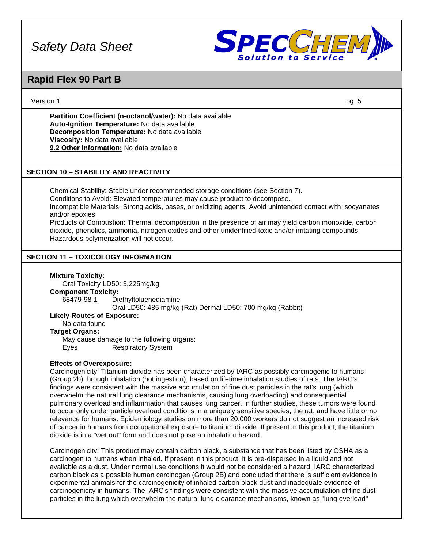

### **Rapid Flex 90 Part B**

#### Version 1 pg. 5

**Partition Coefficient (n-octanol/water):** No data available **Auto-Ignition Temperature:** No data available **Decomposition Temperature:** No data available **Viscosity:** No data available **9.2 Other Information:** No data available

### **SECTION 10 – STABILITY AND REACTIVITY**

Chemical Stability: Stable under recommended storage conditions (see Section 7). Conditions to Avoid: Elevated temperatures may cause product to decompose. Incompatible Materials: Strong acids, bases, or oxidizing agents. Avoid unintended contact with isocyanates and/or epoxies. Products of Combustion: Thermal decomposition in the presence of air may yield carbon monoxide, carbon

dioxide, phenolics, ammonia, nitrogen oxides and other unidentified toxic and/or irritating compounds. Hazardous polymerization will not occur.

### **SECTION 11 – TOXICOLOGY INFORMATION**

#### **Mixture Toxicity:**

Oral Toxicity LD50: 3,225mg/kg **Component Toxicity:**

68479-98-1 Diethyltoluenediamine

Oral LD50: 485 mg/kg (Rat) Dermal LD50: 700 mg/kg (Rabbit)

### **Likely Routes of Exposure:**

No data found

### **Target Organs:**

May cause damage to the following organs: Eyes Respiratory System

#### **Effects of Overexposure:**

Carcinogenicity: Titanium dioxide has been characterized by IARC as possibly carcinogenic to humans (Group 2b) through inhalation (not ingestion), based on lifetime inhalation studies of rats. The IARC's findings were consistent with the massive accumulation of fine dust particles in the rat's lung (which overwhelm the natural lung clearance mechanisms, causing lung overloading) and consequential pulmonary overload and inflammation that causes lung cancer. In further studies, these tumors were found to occur only under particle overload conditions in a uniquely sensitive species, the rat, and have little or no relevance for humans. Epidemiology studies on more than 20,000 workers do not suggest an increased risk of cancer in humans from occupational exposure to titanium dioxide. If present in this product, the titanium dioxide is in a "wet out" form and does not pose an inhalation hazard.

Carcinogenicity: This product may contain carbon black, a substance that has been listed by OSHA as a carcinogen to humans when inhaled. If present in this product, it is pre-dispersed in a liquid and not available as a dust. Under normal use conditions it would not be considered a hazard. IARC characterized carbon black as a possible human carcinogen (Group 2B) and concluded that there is sufficient evidence in experimental animals for the carcinogenicity of inhaled carbon black dust and inadequate evidence of carcinogenicity in humans. The IARC's findings were consistent with the massive accumulation of fine dust particles in the lung which overwhelm the natural lung clearance mechanisms, known as "lung overload"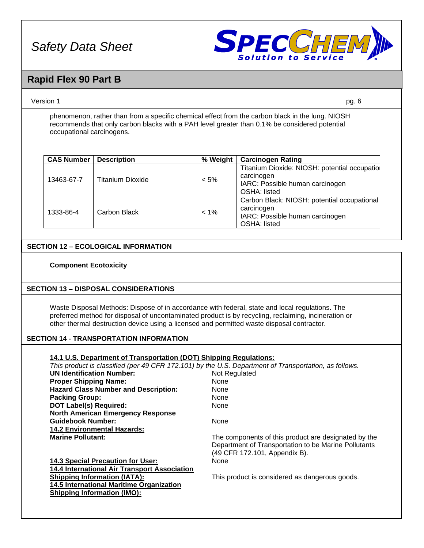

### **Rapid Flex 90 Part B**

#### Version 1 pg. 6

phenomenon, rather than from a specific chemical effect from the carbon black in the lung. NIOSH recommends that only carbon blacks with a PAH level greater than 0.1% be considered potential occupational carcinogens.

| <b>CAS Number</b> | <b>Description</b> | % Weight | <b>Carcinogen Rating</b>                                                                                            |
|-------------------|--------------------|----------|---------------------------------------------------------------------------------------------------------------------|
| 13463-67-7        | Titanium Dioxide   | $< 5\%$  | Titanium Dioxide: NIOSH: potential occupatiol<br>carcinogen<br>IARC: Possible human carcinogen<br>OSHA: listed      |
| 1333-86-4         | Carbon Black       | $< 1\%$  | Carbon Black: NIOSH: potential occupational<br>carcinogen<br>IARC: Possible human carcinogen<br><b>OSHA: listed</b> |

### **SECTION 12 – ECOLOGICAL INFORMATION**

#### **Component Ecotoxicity**

### **SECTION 13 – DISPOSAL CONSIDERATIONS**

Waste Disposal Methods: Dispose of in accordance with federal, state and local regulations. The preferred method for disposal of uncontaminated product is by recycling, reclaiming, incineration or other thermal destruction device using a licensed and permitted waste disposal contractor.

### **SECTION 14 - TRANSPORTATION INFORMATION**

#### **14.1 U.S. Department of Transportation (DOT) Shipping Regulations:**

*This product is classified (per 49 CFR 172.101) by the U.S. Department of Transportation, as follows.*

| <b>UN Identification Number:</b>                | Not Regulated                                                                         |
|-------------------------------------------------|---------------------------------------------------------------------------------------|
| <b>Proper Shipping Name:</b>                    | <b>None</b>                                                                           |
| <b>Hazard Class Number and Description:</b>     | None                                                                                  |
| <b>Packing Group:</b>                           | None                                                                                  |
| <b>DOT Label(s) Required:</b>                   | <b>None</b>                                                                           |
| <b>North American Emergency Response</b>        |                                                                                       |
| <b>Guidebook Number:</b>                        | <b>None</b>                                                                           |
| <b>14.2 Environmental Hazards:</b>              |                                                                                       |
| <b>Marine Pollutant:</b>                        | The components of this product are designated by the                                  |
|                                                 | Department of Transportation to be Marine Pollutants<br>(49 CFR 172.101, Appendix B). |
| <b>14.3 Special Precaution for User:</b>        | <b>None</b>                                                                           |
| 14.4 International Air Transport Association    |                                                                                       |
| <b>Shipping Information (IATA):</b>             | This product is considered as dangerous goods.                                        |
| <b>14.5 International Maritime Organization</b> |                                                                                       |
| <b>Shipping Information (IMO):</b>              |                                                                                       |
|                                                 |                                                                                       |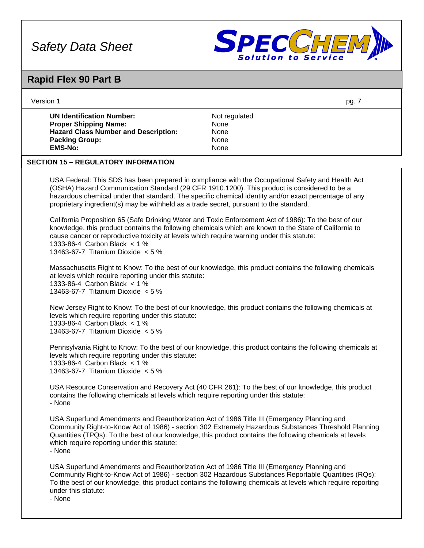

## **Rapid Flex 90 Part B**

| Version 1                                                                                                                                                        | pg. 7                                                                                                                                                                                                                                                                                                               |
|------------------------------------------------------------------------------------------------------------------------------------------------------------------|---------------------------------------------------------------------------------------------------------------------------------------------------------------------------------------------------------------------------------------------------------------------------------------------------------------------|
| <b>UN Identification Number:</b><br><b>Proper Shipping Name:</b><br><b>Hazard Class Number and Description:</b><br><b>Packing Group:</b><br><b>EMS-No:</b>       | Not regulated<br>None<br>None<br>None<br>None                                                                                                                                                                                                                                                                       |
| <b>SECTION 15 - REGULATORY INFORMATION</b>                                                                                                                       |                                                                                                                                                                                                                                                                                                                     |
| proprietary ingredient(s) may be withheld as a trade secret, pursuant to the standard.                                                                           | USA Federal: This SDS has been prepared in compliance with the Occupational Safety and Health Act<br>(OSHA) Hazard Communication Standard (29 CFR 1910.1200). This product is considered to be a<br>hazardous chemical under that standard. The specific chemical identity and/or exact percentage of any           |
| cause cancer or reproductive toxicity at levels which require warning under this statute:<br>1333-86-4 Carbon Black < 1 %<br>13463-67-7 Titanium Dioxide $< 5$ % | California Proposition 65 (Safe Drinking Water and Toxic Enforcement Act of 1986): To the best of our<br>knowledge, this product contains the following chemicals which are known to the State of California to                                                                                                     |
| at levels which require reporting under this statute:<br>1333-86-4 Carbon Black < 1 %<br>13463-67-7 Titanium Dioxide $< 5$ %                                     | Massachusetts Right to Know: To the best of our knowledge, this product contains the following chemicals                                                                                                                                                                                                            |
| levels which require reporting under this statute:<br>1333-86-4 Carbon Black < 1 %<br>13463-67-7 Titanium Dioxide $< 5$ %                                        | New Jersey Right to Know: To the best of our knowledge, this product contains the following chemicals at                                                                                                                                                                                                            |
| levels which require reporting under this statute:<br>1333-86-4 Carbon Black < 1 %<br>13463-67-7 Titanium Dioxide $< 5$ %                                        | Pennsylvania Right to Know: To the best of our knowledge, this product contains the following chemicals at                                                                                                                                                                                                          |
| contains the following chemicals at levels which require reporting under this statute:<br>- None                                                                 | USA Resource Conservation and Recovery Act (40 CFR 261): To the best of our knowledge, this product                                                                                                                                                                                                                 |
| which require reporting under this statute:<br>- None                                                                                                            | USA Superfund Amendments and Reauthorization Act of 1986 Title III (Emergency Planning and<br>Community Right-to-Know Act of 1986) - section 302 Extremely Hazardous Substances Threshold Planning<br>Quantities (TPQs): To the best of our knowledge, this product contains the following chemicals at levels      |
| under this statute:<br>- None                                                                                                                                    | USA Superfund Amendments and Reauthorization Act of 1986 Title III (Emergency Planning and<br>Community Right-to-Know Act of 1986) - section 302 Hazardous Substances Reportable Quantities (RQs):<br>To the best of our knowledge, this product contains the following chemicals at levels which require reporting |